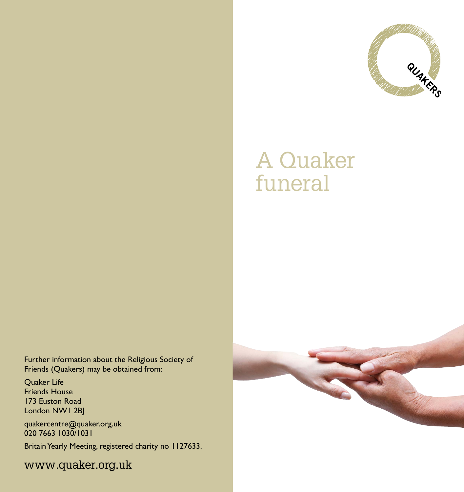

## A Quaker funeral

Further information about the Religious Society of Friends (Quakers) may be obtained from:

Quaker Life Friends House 173 Euston Road London NW1 2BJ

quakercentre@quaker.org.uk 020 7663 1030/1031

Britain Yearly Meeting, registered charity no 1127633.

www.quaker.org.uk